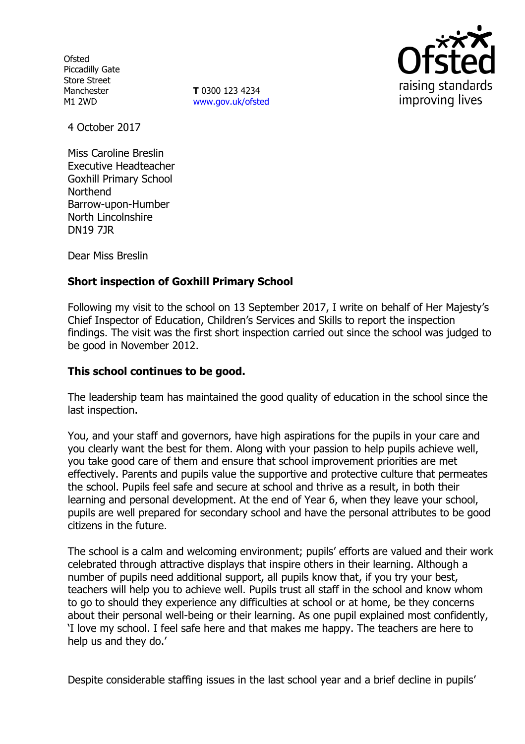**Ofsted** Piccadilly Gate Store Street Manchester M1 2WD

**T** 0300 123 4234 www.gov.uk/ofsted



4 October 2017

Miss Caroline Breslin Executive Headteacher Goxhill Primary School **Northend** Barrow-upon-Humber North Lincolnshire DN19 7JR

Dear Miss Breslin

# **Short inspection of Goxhill Primary School**

Following my visit to the school on 13 September 2017, I write on behalf of Her Majesty's Chief Inspector of Education, Children's Services and Skills to report the inspection findings. The visit was the first short inspection carried out since the school was judged to be good in November 2012.

## **This school continues to be good.**

The leadership team has maintained the good quality of education in the school since the last inspection.

You, and your staff and governors, have high aspirations for the pupils in your care and you clearly want the best for them. Along with your passion to help pupils achieve well, you take good care of them and ensure that school improvement priorities are met effectively. Parents and pupils value the supportive and protective culture that permeates the school. Pupils feel safe and secure at school and thrive as a result, in both their learning and personal development. At the end of Year 6, when they leave your school, pupils are well prepared for secondary school and have the personal attributes to be good citizens in the future.

The school is a calm and welcoming environment; pupils' efforts are valued and their work celebrated through attractive displays that inspire others in their learning. Although a number of pupils need additional support, all pupils know that, if you try your best, teachers will help you to achieve well. Pupils trust all staff in the school and know whom to go to should they experience any difficulties at school or at home, be they concerns about their personal well-being or their learning. As one pupil explained most confidently, 'I love my school. I feel safe here and that makes me happy. The teachers are here to help us and they do.'

Despite considerable staffing issues in the last school year and a brief decline in pupils'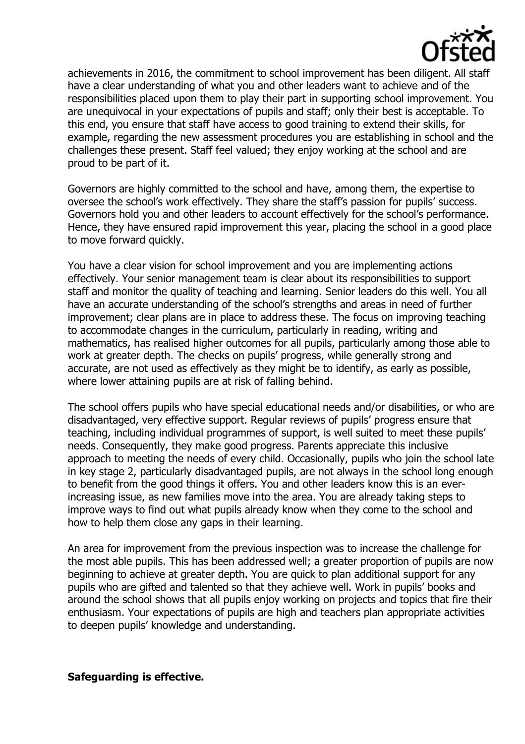

achievements in 2016, the commitment to school improvement has been diligent. All staff have a clear understanding of what you and other leaders want to achieve and of the responsibilities placed upon them to play their part in supporting school improvement. You are unequivocal in your expectations of pupils and staff; only their best is acceptable. To this end, you ensure that staff have access to good training to extend their skills, for example, regarding the new assessment procedures you are establishing in school and the challenges these present. Staff feel valued; they enjoy working at the school and are proud to be part of it.

Governors are highly committed to the school and have, among them, the expertise to oversee the school's work effectively. They share the staff's passion for pupils' success. Governors hold you and other leaders to account effectively for the school's performance. Hence, they have ensured rapid improvement this year, placing the school in a good place to move forward quickly.

You have a clear vision for school improvement and you are implementing actions effectively. Your senior management team is clear about its responsibilities to support staff and monitor the quality of teaching and learning. Senior leaders do this well. You all have an accurate understanding of the school's strengths and areas in need of further improvement; clear plans are in place to address these. The focus on improving teaching to accommodate changes in the curriculum, particularly in reading, writing and mathematics, has realised higher outcomes for all pupils, particularly among those able to work at greater depth. The checks on pupils' progress, while generally strong and accurate, are not used as effectively as they might be to identify, as early as possible, where lower attaining pupils are at risk of falling behind.

The school offers pupils who have special educational needs and/or disabilities, or who are disadvantaged, very effective support. Regular reviews of pupils' progress ensure that teaching, including individual programmes of support, is well suited to meet these pupils' needs. Consequently, they make good progress. Parents appreciate this inclusive approach to meeting the needs of every child. Occasionally, pupils who join the school late in key stage 2, particularly disadvantaged pupils, are not always in the school long enough to benefit from the good things it offers. You and other leaders know this is an everincreasing issue, as new families move into the area. You are already taking steps to improve ways to find out what pupils already know when they come to the school and how to help them close any gaps in their learning.

An area for improvement from the previous inspection was to increase the challenge for the most able pupils. This has been addressed well; a greater proportion of pupils are now beginning to achieve at greater depth. You are quick to plan additional support for any pupils who are gifted and talented so that they achieve well. Work in pupils' books and around the school shows that all pupils enjoy working on projects and topics that fire their enthusiasm. Your expectations of pupils are high and teachers plan appropriate activities to deepen pupils' knowledge and understanding.

#### **Safeguarding is effective.**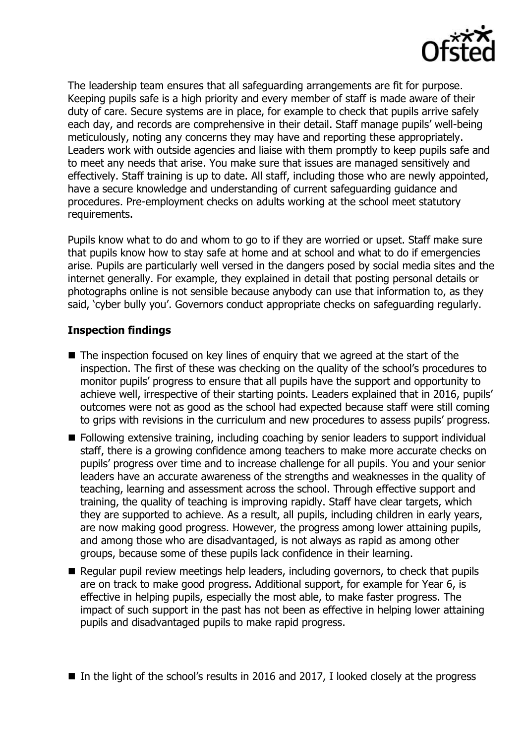

The leadership team ensures that all safeguarding arrangements are fit for purpose. Keeping pupils safe is a high priority and every member of staff is made aware of their duty of care. Secure systems are in place, for example to check that pupils arrive safely each day, and records are comprehensive in their detail. Staff manage pupils' well-being meticulously, noting any concerns they may have and reporting these appropriately. Leaders work with outside agencies and liaise with them promptly to keep pupils safe and to meet any needs that arise. You make sure that issues are managed sensitively and effectively. Staff training is up to date. All staff, including those who are newly appointed, have a secure knowledge and understanding of current safeguarding guidance and procedures. Pre-employment checks on adults working at the school meet statutory requirements.

Pupils know what to do and whom to go to if they are worried or upset. Staff make sure that pupils know how to stay safe at home and at school and what to do if emergencies arise. Pupils are particularly well versed in the dangers posed by social media sites and the internet generally. For example, they explained in detail that posting personal details or photographs online is not sensible because anybody can use that information to, as they said, 'cyber bully you'. Governors conduct appropriate checks on safeguarding regularly.

## **Inspection findings**

- The inspection focused on key lines of enquiry that we agreed at the start of the inspection. The first of these was checking on the quality of the school's procedures to monitor pupils' progress to ensure that all pupils have the support and opportunity to achieve well, irrespective of their starting points. Leaders explained that in 2016, pupils' outcomes were not as good as the school had expected because staff were still coming to grips with revisions in the curriculum and new procedures to assess pupils' progress.
- **Following extensive training, including coaching by senior leaders to support individual** staff, there is a growing confidence among teachers to make more accurate checks on pupils' progress over time and to increase challenge for all pupils. You and your senior leaders have an accurate awareness of the strengths and weaknesses in the quality of teaching, learning and assessment across the school. Through effective support and training, the quality of teaching is improving rapidly. Staff have clear targets, which they are supported to achieve. As a result, all pupils, including children in early years, are now making good progress. However, the progress among lower attaining pupils, and among those who are disadvantaged, is not always as rapid as among other groups, because some of these pupils lack confidence in their learning.
- Regular pupil review meetings help leaders, including governors, to check that pupils are on track to make good progress. Additional support, for example for Year 6, is effective in helping pupils, especially the most able, to make faster progress. The impact of such support in the past has not been as effective in helping lower attaining pupils and disadvantaged pupils to make rapid progress.

 $\blacksquare$  In the light of the school's results in 2016 and 2017, I looked closely at the progress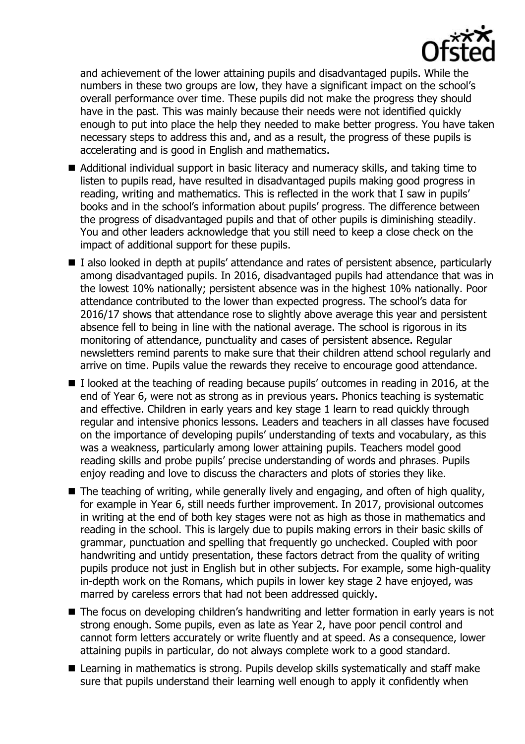

and achievement of the lower attaining pupils and disadvantaged pupils. While the numbers in these two groups are low, they have a significant impact on the school's overall performance over time. These pupils did not make the progress they should have in the past. This was mainly because their needs were not identified quickly enough to put into place the help they needed to make better progress. You have taken necessary steps to address this and, and as a result, the progress of these pupils is accelerating and is good in English and mathematics.

- Additional individual support in basic literacy and numeracy skills, and taking time to listen to pupils read, have resulted in disadvantaged pupils making good progress in reading, writing and mathematics. This is reflected in the work that I saw in pupils' books and in the school's information about pupils' progress. The difference between the progress of disadvantaged pupils and that of other pupils is diminishing steadily. You and other leaders acknowledge that you still need to keep a close check on the impact of additional support for these pupils.
- I also looked in depth at pupils' attendance and rates of persistent absence, particularly among disadvantaged pupils. In 2016, disadvantaged pupils had attendance that was in the lowest 10% nationally; persistent absence was in the highest 10% nationally. Poor attendance contributed to the lower than expected progress. The school's data for 2016/17 shows that attendance rose to slightly above average this year and persistent absence fell to being in line with the national average. The school is rigorous in its monitoring of attendance, punctuality and cases of persistent absence. Regular newsletters remind parents to make sure that their children attend school regularly and arrive on time. Pupils value the rewards they receive to encourage good attendance.
- I looked at the teaching of reading because pupils' outcomes in reading in 2016, at the end of Year 6, were not as strong as in previous years. Phonics teaching is systematic and effective. Children in early years and key stage 1 learn to read quickly through regular and intensive phonics lessons. Leaders and teachers in all classes have focused on the importance of developing pupils' understanding of texts and vocabulary, as this was a weakness, particularly among lower attaining pupils. Teachers model good reading skills and probe pupils' precise understanding of words and phrases. Pupils enjoy reading and love to discuss the characters and plots of stories they like.
- The teaching of writing, while generally lively and engaging, and often of high quality, for example in Year 6, still needs further improvement. In 2017, provisional outcomes in writing at the end of both key stages were not as high as those in mathematics and reading in the school. This is largely due to pupils making errors in their basic skills of grammar, punctuation and spelling that frequently go unchecked. Coupled with poor handwriting and untidy presentation, these factors detract from the quality of writing pupils produce not just in English but in other subjects. For example, some high-quality in-depth work on the Romans, which pupils in lower key stage 2 have enjoyed, was marred by careless errors that had not been addressed quickly.
- The focus on developing children's handwriting and letter formation in early years is not strong enough. Some pupils, even as late as Year 2, have poor pencil control and cannot form letters accurately or write fluently and at speed. As a consequence, lower attaining pupils in particular, do not always complete work to a good standard.
- Learning in mathematics is strong. Pupils develop skills systematically and staff make sure that pupils understand their learning well enough to apply it confidently when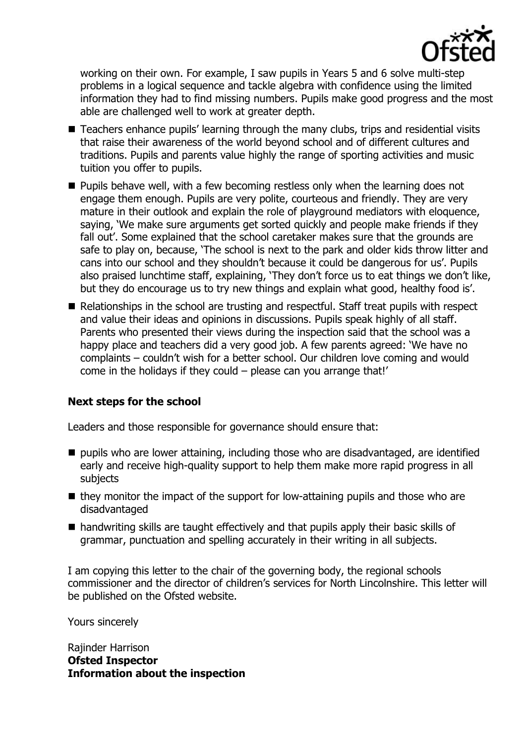

working on their own. For example, I saw pupils in Years 5 and 6 solve multi-step problems in a logical sequence and tackle algebra with confidence using the limited information they had to find missing numbers. Pupils make good progress and the most able are challenged well to work at greater depth.

- Teachers enhance pupils' learning through the many clubs, trips and residential visits that raise their awareness of the world beyond school and of different cultures and traditions. Pupils and parents value highly the range of sporting activities and music tuition you offer to pupils.
- **Pupils behave well, with a few becoming restless only when the learning does not** engage them enough. Pupils are very polite, courteous and friendly. They are very mature in their outlook and explain the role of playground mediators with eloquence, saying, 'We make sure arguments get sorted quickly and people make friends if they fall out'. Some explained that the school caretaker makes sure that the grounds are safe to play on, because, 'The school is next to the park and older kids throw litter and cans into our school and they shouldn't because it could be dangerous for us'. Pupils also praised lunchtime staff, explaining, 'They don't force us to eat things we don't like, but they do encourage us to try new things and explain what good, healthy food is'.
- Relationships in the school are trusting and respectful. Staff treat pupils with respect and value their ideas and opinions in discussions. Pupils speak highly of all staff. Parents who presented their views during the inspection said that the school was a happy place and teachers did a very good job. A few parents agreed: 'We have no complaints – couldn't wish for a better school. Our children love coming and would come in the holidays if they could – please can you arrange that!'

## **Next steps for the school**

Leaders and those responsible for governance should ensure that:

- pupils who are lower attaining, including those who are disadvantaged, are identified early and receive high-quality support to help them make more rapid progress in all subjects
- $\blacksquare$  they monitor the impact of the support for low-attaining pupils and those who are disadvantaged
- handwriting skills are taught effectively and that pupils apply their basic skills of grammar, punctuation and spelling accurately in their writing in all subjects.

I am copying this letter to the chair of the governing body, the regional schools commissioner and the director of children's services for North Lincolnshire. This letter will be published on the Ofsted website.

Yours sincerely

Rajinder Harrison **Ofsted Inspector Information about the inspection**